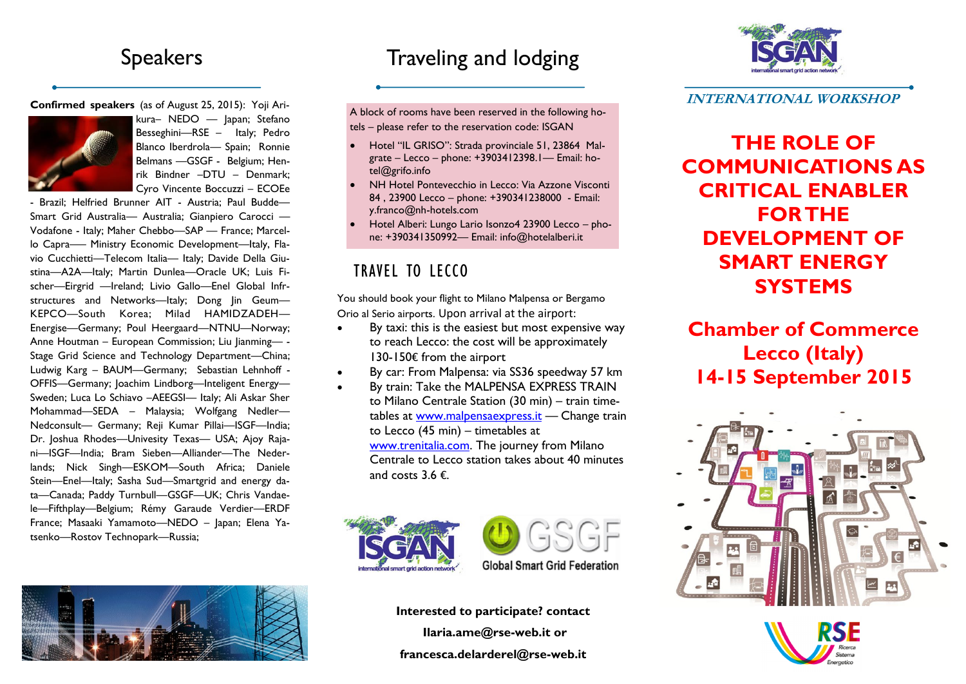## Speakers

**Confirmed speakers** (as of August 25, 2015): Yoji Ari-



kura– NEDO — Japan; Stefano Besseghini—RSE – Italy; Pedro Blanco Iberdrola— Spain; Ronnie Belmans —GSGF - Belgium; Henrik Bindner –DTU – Denmark; Cyro Vincente Boccuzzi – ECOEe

- Brazil; Helfried Brunner AIT - Austria; Paul Budde— Smart Grid Australia— Australia; Gianpiero Carocci — Vodafone - Italy; Maher Chebbo—SAP — France; Marcello Capra—– Ministry Economic Development—Italy, Flavio Cucchietti—Telecom Italia— Italy; Davide Della Giustina—A2A—Italy; Martin Dunlea—Oracle UK; Luis Fischer—Eirgrid —Ireland; Livio Gallo—Enel Global Infrstructures and Networks-Italy; Dong Jin Geum-KEPCO—South Korea; Milad HAMIDZADEH— Energise—Germany; Poul Heergaard—NTNU—Norway; Anne Houtman – European Commission; Liu Jianming— - Stage Grid Science and Technology Department—China; Ludwig Karg – BAUM—Germany; Sebastian Lehnhoff - OFFIS—Germany; Joachim Lindborg—Inteligent Energy— Sweden; Luca Lo Schiavo –AEEGSI— Italy; Ali Askar Sher Mohammad—SEDA – Malaysia; Wolfgang Nedler— Nedconsult— Germany; Reji Kumar Pillai—ISGF—India; Dr. Joshua Rhodes—Univesity Texas— USA; Ajoy Rajani—ISGF—India; Bram Sieben—Alliander—The Nederlands; Nick Singh—ESKOM—South Africa; Daniele Stein—Enel—Italy; Sasha Sud—Smartgrid and energy data—Canada; Paddy Turnbull—GSGF—UK; Chris Vandaele—Fifthplay—Belgium; Rémy Garaude Verdier—ERDF France; Masaaki Yamamoto—NEDO – Japan; Elena Yatsenko—Rostov Technopark—Russia;



# Traveling and lodging

A block of rooms have been reserved in the following ho-

tels – please refer to the reservation code: ISGAN

- Hotel "IL GRISO": Strada provinciale 51, 23864 Malgrate – Lecco – phone: +3903412398.1— Email: ho[tel@grifo.info](mailto:hotel@grifo.info)
- NH Hotel Pontevecchio in Lecco: Via Azzone Visconti 84 , 23900 Lecco – phone: +390341238000 - Email: y.franco@nh-hotels.com
- Hotel Alberi: Lungo Lario Isonzo4 23900 Lecco phone: +390341350992— Email: info@hotelalberi.it

### TRAVEL TO LECCO

You should book your flight to Milano Malpensa or Bergamo Orio al Serio airports. Upon arrival at the airport:

- By taxi: this is the easiest but most expensive way to reach Lecco: the cost will be approximately 130-150€ from the airport
- By car: From Malpensa: via SS36 speedway 57 km
- By train: Take the MALPENSA EXPRESS TRAIN to Milano Centrale Station (30 min) – train timetables at [www.malpensaexpress.it](http://www.malpensaexpress.it) — Change train to Lecco (45 min) – timetables at [www.trenitalia.com.](http://www.trenitalia.com) The journey from Milano Centrale to Lecco station takes about 40 minutes and costs 3.6 €.





**Global Smart Grid Federation** 

**Interested to participate? contact Ilaria.ame@rse-web.it or francesca.delarderel@rse-web.it**



**INTERNATIONAL WORKSHOP**

**THE ROLE OF COMMUNICATIONS AS CRITICAL FNABLER FOR THE DEVELOPMENT OF SMART ENERGY SYSTEMS**

**Chamber of Commerce Lecco (Italy) 14-15 September 2015**